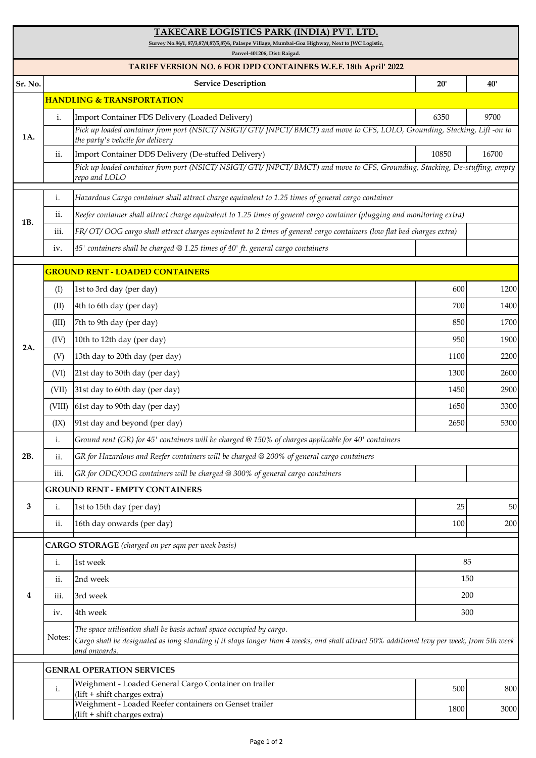## **TAKECARE LOGISTICS PARK (INDIA) PVT. LTD.**

**Survey No.96/1, 87/3,87/4,87/5,87/6, Palaspe Village, Mumbai-Goa Highway, Next to JWC Logistic,**

**Panvel-401206, Dist: Raigad.**

| TARIFF VERSION NO. 6 FOR DPD CONTAINERS W.E.F. 18th April' 2022 |                                                          |                                                                                                                                                                                                                                   |       |       |  |  |  |  |
|-----------------------------------------------------------------|----------------------------------------------------------|-----------------------------------------------------------------------------------------------------------------------------------------------------------------------------------------------------------------------------------|-------|-------|--|--|--|--|
| Sr. No.                                                         |                                                          | <b>Service Description</b>                                                                                                                                                                                                        | 20'   | 40'   |  |  |  |  |
| 1A.                                                             | <b>HANDLING &amp; TRANSPORTATION</b>                     |                                                                                                                                                                                                                                   |       |       |  |  |  |  |
|                                                                 | $\mathbf{i}$ .                                           | Import Container FDS Delivery (Loaded Delivery)<br>Pick up loaded container from port (NSICT/NSIGT/GTI/JNPCT/BMCT) and move to CFS, LOLO, Grounding, Stacking, Lift -on to<br>the party's vehcile for delivery                    | 6350  | 9700  |  |  |  |  |
|                                                                 | ii.                                                      | Import Container DDS Delivery (De-stuffed Delivery)                                                                                                                                                                               | 10850 | 16700 |  |  |  |  |
|                                                                 |                                                          | Pick up loaded container from port (NSICT/NSIGT/GTI/JNPCT/BMCT) and move to CFS, Grounding, Stacking, De-stuffing, empty<br>repo and LOLO                                                                                         |       |       |  |  |  |  |
| 1B.                                                             | i.                                                       | Hazardous Cargo container shall attract charge equivalent to 1.25 times of general cargo container                                                                                                                                |       |       |  |  |  |  |
|                                                                 | ii.                                                      | Reefer container shall attract charge equivalent to 1.25 times of general cargo container (plugging and monitoring extra)                                                                                                         |       |       |  |  |  |  |
|                                                                 | iii.                                                     | [FR/OT/OOG cargo shall attract charges equivalent to 2 times of general cargo containers (low flat bed charges extra)                                                                                                             |       |       |  |  |  |  |
|                                                                 | iv.                                                      | 45' containers shall be charged @ 1.25 times of 40' ft. general cargo containers                                                                                                                                                  |       |       |  |  |  |  |
|                                                                 |                                                          | <b>GROUND RENT - LOADED CONTAINERS</b>                                                                                                                                                                                            |       |       |  |  |  |  |
|                                                                 | (I)                                                      | 1st to 3rd day (per day)                                                                                                                                                                                                          | 600   | 1200  |  |  |  |  |
|                                                                 | (II)                                                     | 4th to 6th day (per day)                                                                                                                                                                                                          | 700   | 1400  |  |  |  |  |
|                                                                 | (III)                                                    | 7th to 9th day (per day)                                                                                                                                                                                                          | 850   | 1700  |  |  |  |  |
| 2A.                                                             | (IV)                                                     | 10th to 12th day (per day)                                                                                                                                                                                                        | 950   | 1900  |  |  |  |  |
|                                                                 | (V)                                                      | 13th day to 20th day (per day)                                                                                                                                                                                                    | 1100  | 2200  |  |  |  |  |
|                                                                 | (VI)                                                     | 21st day to 30th day (per day)                                                                                                                                                                                                    | 1300  | 2600  |  |  |  |  |
|                                                                 | (VII)                                                    | 31st day to 60th day (per day)                                                                                                                                                                                                    | 1450  | 2900  |  |  |  |  |
|                                                                 | (VIII)                                                   | 61st day to 90th day (per day)                                                                                                                                                                                                    | 1650  | 3300  |  |  |  |  |
|                                                                 | (IX)                                                     | 91st day and beyond (per day)                                                                                                                                                                                                     | 2650  | 5300  |  |  |  |  |
|                                                                 | $\mathbf{i}$ .                                           | Ground rent (GR) for 45' containers will be charged @ 150% of charges applicable for 40' containers                                                                                                                               |       |       |  |  |  |  |
| 2B.                                                             | ii.                                                      | GR for Hazardous and Reefer containers will be charged @ 200% of general cargo containers                                                                                                                                         |       |       |  |  |  |  |
|                                                                 | iii.                                                     | GR for ODC/OOG containers will be charged @ 300% of general cargo containers                                                                                                                                                      |       |       |  |  |  |  |
| 3                                                               |                                                          | <b>GROUND RENT - EMPTY CONTAINERS</b>                                                                                                                                                                                             |       |       |  |  |  |  |
|                                                                 | i.                                                       | 1st to 15th day (per day)                                                                                                                                                                                                         | 25    | 50    |  |  |  |  |
|                                                                 | ii.                                                      | 16th day onwards (per day)                                                                                                                                                                                                        | 100   | 200   |  |  |  |  |
|                                                                 | <b>CARGO STORAGE</b> (charged on per sqm per week basis) |                                                                                                                                                                                                                                   |       |       |  |  |  |  |
|                                                                 | $\mathbf i.$                                             | 1st week                                                                                                                                                                                                                          | 85    |       |  |  |  |  |
|                                                                 | ii.                                                      | 2nd week                                                                                                                                                                                                                          | 150   |       |  |  |  |  |
| 4                                                               | iii.                                                     | 3rd week                                                                                                                                                                                                                          | 200   |       |  |  |  |  |
|                                                                 | iv.                                                      | 4th week                                                                                                                                                                                                                          | 300   |       |  |  |  |  |
|                                                                 | Notes:                                                   | The space utilisation shall be basis actual space occupied by cargo.<br>Cargo shall be designated as long standing if it stays longer than 4 weeks, and shall attract 50% additional levy per week, from 5th week<br>and onwards. |       |       |  |  |  |  |
|                                                                 | <b>GENRAL OPERATION SERVICES</b>                         |                                                                                                                                                                                                                                   |       |       |  |  |  |  |
|                                                                 | $\mathbf{i}$ .                                           | Weighment - Loaded General Cargo Container on trailer<br>(lift + shift charges extra)                                                                                                                                             | 500   | 800   |  |  |  |  |
|                                                                 |                                                          | Weighment - Loaded Reefer containers on Genset trailer<br>(lift + shift charges extra)                                                                                                                                            | 1800  | 3000  |  |  |  |  |